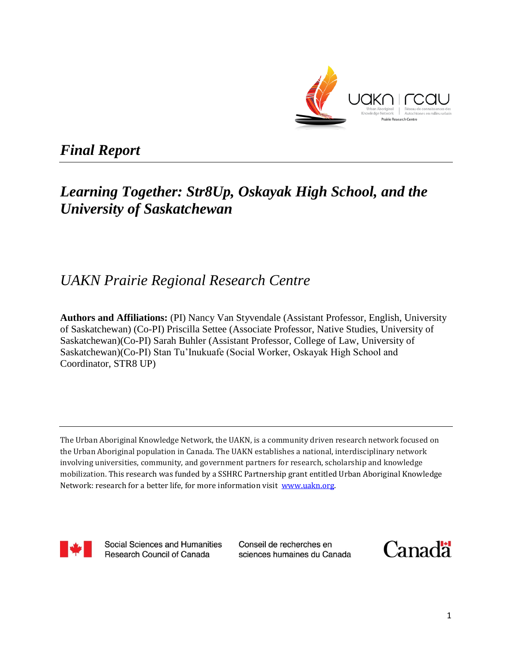

# *Final Report*

# *Learning Together: Str8Up, Oskayak High School, and the University of Saskatchewan*

# *UAKN Prairie Regional Research Centre*

**Authors and Affiliations:** (PI) Nancy Van Styvendale (Assistant Professor, English, University of Saskatchewan) (Co-PI) Priscilla Settee (Associate Professor, Native Studies, University of Saskatchewan)(Co-PI) Sarah Buhler (Assistant Professor, College of Law, University of Saskatchewan)(Co-PI) Stan Tu'Inukuafe (Social Worker, Oskayak High School and Coordinator, STR8 UP)

The Urban Aboriginal Knowledge Network, the UAKN, is a community driven research network focused on the Urban Aboriginal population in Canada. The UAKN establishes a national, interdisciplinary network involving universities, community, and government partners for research, scholarship and knowledge mobilization. This research was funded by a SSHRC Partnership grant entitled Urban Aboriginal Knowledge Network: research for a better life, for more information visit www.uakn.org.



Social Sciences and Humanities Research Council of Canada

Conseil de recherches en sciences humaines du Canada

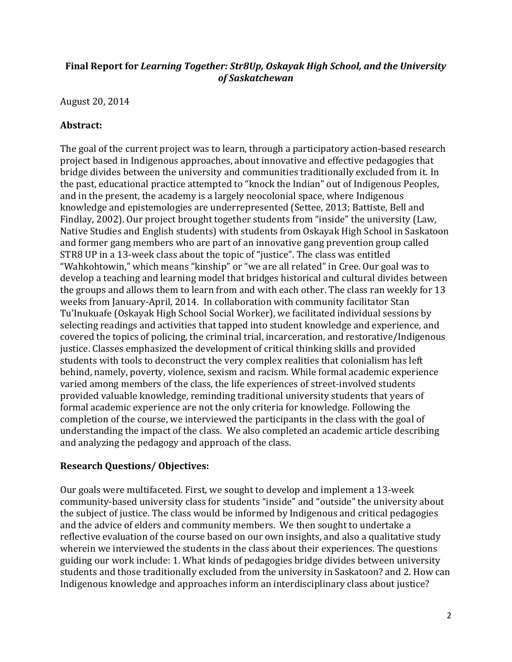## **Final Report for** *Learning Together: Str8Up, Oskayak High School, and the University of Saskatchewan*

August 20, 2014

## **Abstract:**

The goal of the current project was to learn, through a participatory action-based research project based in Indigenous approaches, about innovative and effective pedagogies that bridge divides between the university and communities traditionally excluded from it. In the past, educational practice attempted to "knock the Indian" out of Indigenous Peoples, and in the present, the academy is a largely neocolonial space, where Indigenous knowledge and epistemologies are underrepresented (Settee, 2013; Battiste, Bell and Findlay, 2002). Our project brought together students from "inside" the university (Law, Native Studies and English students) with students from Oskayak High School in Saskatoon and former gang members who are part of an innovative gang prevention group called STR8 UP in a 13-week class about the topic of "justice". The class was entitled "Wahkohtowin," which means "kinship" or "we are all related" in Cree. Our goal was to develop a teaching and learning model that bridges historical and cultural divides between the groups and allows them to learn from and with each other. The class ran weekly for 13 weeks from January-April, 2014. In collaboration with community facilitator Stan Tu'Inukuafe (Oskayak High School Social Worker), we facilitated individual sessions by selecting readings and activities that tapped into student knowledge and experience, and covered the topics of policing, the criminal trial, incarceration, and restorative/Indigenous justice. Classes emphasized the development of critical thinking skills and provided students with tools to deconstruct the very complex realities that colonialism has left behind, namely, poverty, violence, sexism and racism. While formal academic experience varied among members of the class, the life experiences of street-involved students provided valuable knowledge, reminding traditional university students that years of formal academic experience are not the only criteria for knowledge. Following the completion of the course, we interviewed the participants in the class with the goal of understanding the impact of the class. We also completed an academic article describing and analyzing the pedagogy and approach of the class.

# **Research Questions/ Objectives:**

Our goals were multifaceted. First, we sought to develop and implement a 13-week community-based university class for students "inside" and "outside" the university about the subject of justice. The class would be informed by Indigenous and critical pedagogies and the advice of elders and community members. We then sought to undertake a reflective evaluation of the course based on our own insights, and also a qualitative study wherein we interviewed the students in the class about their experiences. The questions guiding our work include: 1. What kinds of pedagogies bridge divides between university students and those traditionally excluded from the university in Saskatoon? and 2. How can Indigenous knowledge and approaches inform an interdisciplinary class about justice?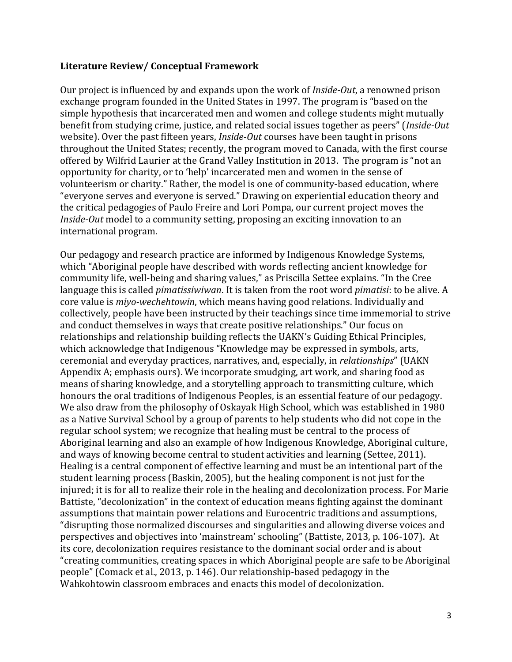#### **Literature Review/ Conceptual Framework**

Our project is influenced by and expands upon the work of *Inside-Out*, a renowned prison exchange program founded in the United States in 1997. The program is "based on the simple hypothesis that incarcerated men and women and college students might mutually benefit from studying crime, justice, and related social issues together as peers" (*Inside-Out*  website). Over the past fifteen years, *Inside-Out* courses have been taught in prisons throughout the United States; recently, the program moved to Canada, with the first course offered by Wilfrid Laurier at the Grand Valley Institution in 2013. The program is "not an opportunity for charity, or to 'help' incarcerated men and women in the sense of volunteerism or charity." Rather, the model is one of community-based education, where "everyone serves and everyone is served." Drawing on experiential education theory and the critical pedagogies of Paulo Freire and Lori Pompa, our current project moves the *Inside-Out* model to a community setting, proposing an exciting innovation to an international program.

Our pedagogy and research practice are informed by Indigenous Knowledge Systems, which "Aboriginal people have described with words reflecting ancient knowledge for community life, well-being and sharing values," as Priscilla Settee explains. "In the Cree language this is called *pimatissiwiwan*. It is taken from the root word *pimatisi*: to be alive. A core value is *miyo-wechehtowin*, which means having good relations. Individually and collectively, people have been instructed by their teachings since time immemorial to strive and conduct themselves in ways that create positive relationships." Our focus on relationships and relationship building reflects the UAKN's Guiding Ethical Principles, which acknowledge that Indigenous "Knowledge may be expressed in symbols, arts, ceremonial and everyday practices, narratives, and, especially, in *relationships*" (UAKN Appendix A; emphasis ours). We incorporate smudging, art work, and sharing food as means of sharing knowledge, and a storytelling approach to transmitting culture, which honours the oral traditions of Indigenous Peoples, is an essential feature of our pedagogy. We also draw from the philosophy of Oskayak High School, which was established in 1980 as a Native Survival School by a group of parents to help students who did not cope in the regular school system; we recognize that healing must be central to the process of Aboriginal learning and also an example of how Indigenous Knowledge, Aboriginal culture, and ways of knowing become central to student activities and learning (Settee, 2011). Healing is a central component of effective learning and must be an intentional part of the student learning process (Baskin, 2005), but the healing component is not just for the injured; it is for all to realize their role in the healing and decolonization process. For Marie Battiste, "decolonization" in the context of education means fighting against the dominant assumptions that maintain power relations and Eurocentric traditions and assumptions, "disrupting those normalized discourses and singularities and allowing diverse voices and perspectives and objectives into 'mainstream' schooling" (Battiste, 2013, p. 106-107). At its core, decolonization requires resistance to the dominant social order and is about "creating communities, creating spaces in which Aboriginal people are safe to be Aboriginal people" (Comack et al., 2013, p. 146). Our relationship-based pedagogy in the Wahkohtowin classroom embraces and enacts this model of decolonization.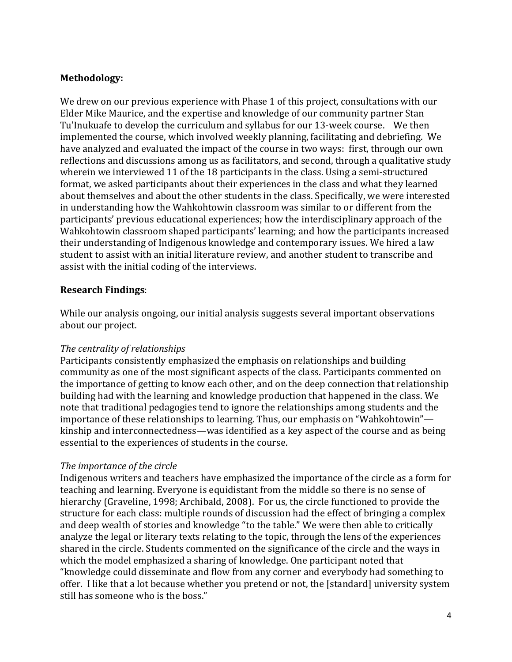## **Methodology:**

We drew on our previous experience with Phase 1 of this project, consultations with our Elder Mike Maurice, and the expertise and knowledge of our community partner Stan Tu'Inukuafe to develop the curriculum and syllabus for our 13-week course. We then implemented the course, which involved weekly planning, facilitating and debriefing. We have analyzed and evaluated the impact of the course in two ways: first, through our own reflections and discussions among us as facilitators, and second, through a qualitative study wherein we interviewed 11 of the 18 participants in the class. Using a semi-structured format, we asked participants about their experiences in the class and what they learned about themselves and about the other students in the class. Specifically, we were interested in understanding how the Wahkohtowin classroom was similar to or different from the participants' previous educational experiences; how the interdisciplinary approach of the Wahkohtowin classroom shaped participants' learning; and how the participants increased their understanding of Indigenous knowledge and contemporary issues. We hired a law student to assist with an initial literature review, and another student to transcribe and assist with the initial coding of the interviews.

## **Research Findings**:

While our analysis ongoing, our initial analysis suggests several important observations about our project.

#### *The centrality of relationships*

Participants consistently emphasized the emphasis on relationships and building community as one of the most significant aspects of the class. Participants commented on the importance of getting to know each other, and on the deep connection that relationship building had with the learning and knowledge production that happened in the class. We note that traditional pedagogies tend to ignore the relationships among students and the importance of these relationships to learning. Thus, our emphasis on "Wahkohtowin" kinship and interconnectedness—was identified as a key aspect of the course and as being essential to the experiences of students in the course.

#### *The importance of the circle*

Indigenous writers and teachers have emphasized the importance of the circle as a form for teaching and learning. Everyone is equidistant from the middle so there is no sense of hierarchy (Graveline, 1998; Archibald, 2008). For us, the circle functioned to provide the structure for each class: multiple rounds of discussion had the effect of bringing a complex and deep wealth of stories and knowledge "to the table." We were then able to critically analyze the legal or literary texts relating to the topic, through the lens of the experiences shared in the circle. Students commented on the significance of the circle and the ways in which the model emphasized a sharing of knowledge. One participant noted that "knowledge could disseminate and flow from any corner and everybody had something to offer. I like that a lot because whether you pretend or not, the [standard] university system still has someone who is the boss."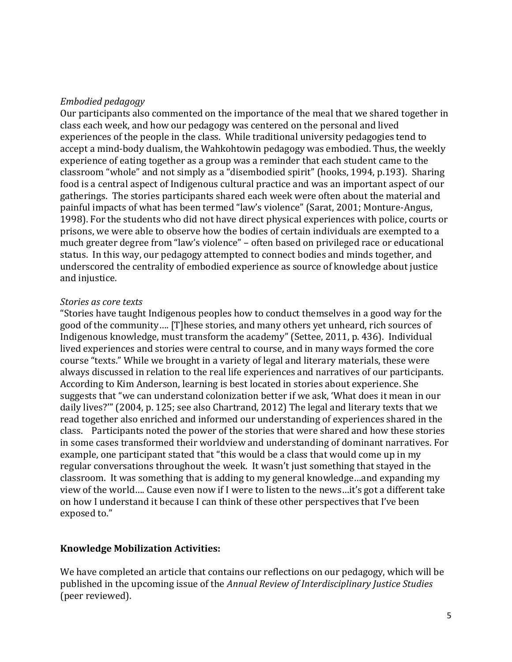#### *Embodied pedagogy*

Our participants also commented on the importance of the meal that we shared together in class each week, and how our pedagogy was centered on the personal and lived experiences of the people in the class. While traditional university pedagogies tend to accept a mind-body dualism, the Wahkohtowin pedagogy was embodied. Thus, the weekly experience of eating together as a group was a reminder that each student came to the classroom "whole" and not simply as a "disembodied spirit" (hooks, 1994, p.193). Sharing food is a central aspect of Indigenous cultural practice and was an important aspect of our gatherings. The stories participants shared each week were often about the material and painful impacts of what has been termed "law's violence" (Sarat, 2001; Monture-Angus, 1998). For the students who did not have direct physical experiences with police, courts or prisons, we were able to observe how the bodies of certain individuals are exempted to a much greater degree from "law's violence" – often based on privileged race or educational status. In this way, our pedagogy attempted to connect bodies and minds together, and underscored the centrality of embodied experience as source of knowledge about justice and injustice.

#### *Stories as core texts*

"Stories have taught Indigenous peoples how to conduct themselves in a good way for the good of the community…. [T]hese stories, and many others yet unheard, rich sources of Indigenous knowledge, must transform the academy" (Settee, 2011, p. 436). Individual lived experiences and stories were central to course, and in many ways formed the core course "texts." While we brought in a variety of legal and literary materials, these were always discussed in relation to the real life experiences and narratives of our participants. According to Kim Anderson, learning is best located in stories about experience. She suggests that "we can understand colonization better if we ask, 'What does it mean in our daily lives?'" (2004, p. 125; see also Chartrand, 2012) The legal and literary texts that we read together also enriched and informed our understanding of experiences shared in the class. Participants noted the power of the stories that were shared and how these stories in some cases transformed their worldview and understanding of dominant narratives. For example, one participant stated that "this would be a class that would come up in my regular conversations throughout the week. It wasn't just something that stayed in the classroom. It was something that is adding to my general knowledge…and expanding my view of the world…. Cause even now if I were to listen to the news…it's got a different take on how I understand it because I can think of these other perspectives that I've been exposed to."

#### **Knowledge Mobilization Activities:**

We have completed an article that contains our reflections on our pedagogy, which will be published in the upcoming issue of the *Annual Review of Interdisciplinary Justice Studies*  (peer reviewed).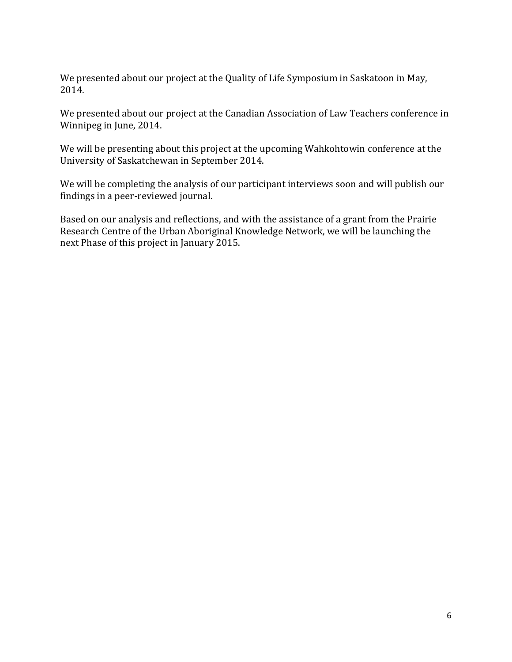We presented about our project at the Quality of Life Symposium in Saskatoon in May, 2014.

We presented about our project at the Canadian Association of Law Teachers conference in Winnipeg in June, 2014.

We will be presenting about this project at the upcoming Wahkohtowin conference at the University of Saskatchewan in September 2014.

We will be completing the analysis of our participant interviews soon and will publish our findings in a peer-reviewed journal.

Based on our analysis and reflections, and with the assistance of a grant from the Prairie Research Centre of the Urban Aboriginal Knowledge Network, we will be launching the next Phase of this project in January 2015.